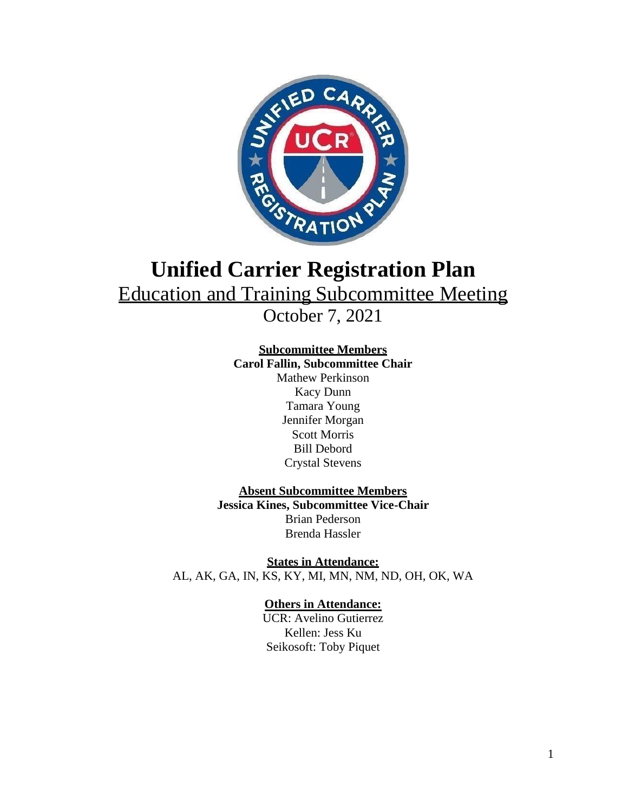

# **Unified Carrier Registration Plan** Education and Training Subcommittee Meeting

October 7, 2021

## **Subcommittee Members**

**Carol Fallin, Subcommittee Chair** Mathew Perkinson Kacy Dunn Tamara Young Jennifer Morgan Scott Morris Bill Debord Crystal Stevens

### **Absent Subcommittee Members Jessica Kines, Subcommittee Vice-Chair**  Brian Pederson Brenda Hassler

**States in Attendance:** AL, AK, GA, IN, KS, KY, MI, MN, NM, ND, OH, OK, WA

## **Others in Attendance:**

UCR: Avelino Gutierrez Kellen: Jess Ku Seikosoft: Toby Piquet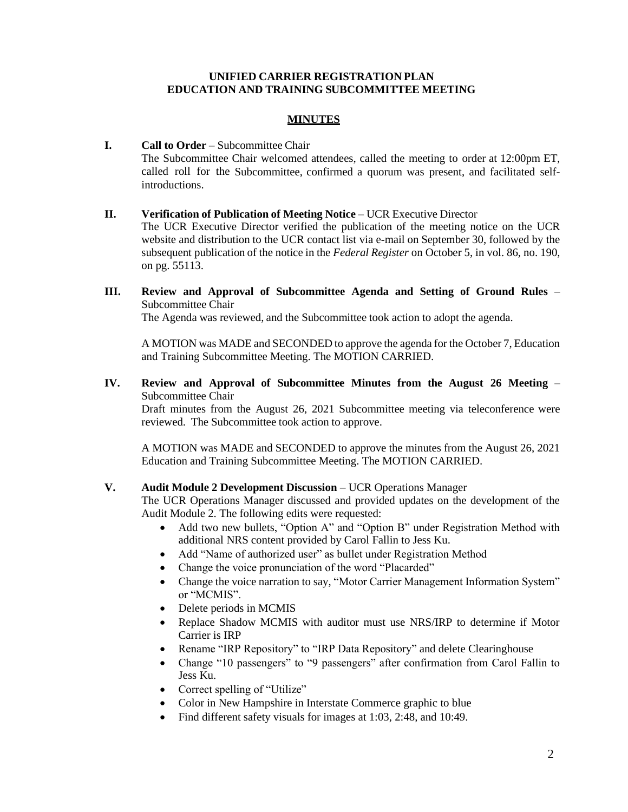#### **UNIFIED CARRIER REGISTRATION PLAN EDUCATION AND TRAINING SUBCOMMITTEE MEETING**

#### **MINUTES**

#### **I. Call to Order** – Subcommittee Chair

The Subcommittee Chair welcomed attendees, called the meeting to order at 12:00pm ET, called roll for the Subcommittee, confirmed a quorum was present, and facilitated selfintroductions.

#### **II. Verification of Publication of Meeting Notice** – UCR Executive Director

The UCR Executive Director verified the publication of the meeting notice on the UCR website and distribution to the UCR contact list via e-mail on September 30, followed by the subsequent publication of the notice in the *Federal Register* on October 5, in vol. 86, no. 190, on pg. 55113.

**III. Review and Approval of Subcommittee Agenda and Setting of Ground Rules** – Subcommittee Chair

The Agenda was reviewed, and the Subcommittee took action to adopt the agenda.

A MOTION was MADE and SECONDED to approve the agenda for the October 7, Education and Training Subcommittee Meeting. The MOTION CARRIED.

**IV. Review and Approval of Subcommittee Minutes from the August 26 Meeting** – Subcommittee Chair

Draft minutes from the August 26, 2021 Subcommittee meeting via teleconference were reviewed. The Subcommittee took action to approve.

A MOTION was MADE and SECONDED to approve the minutes from the August 26, 2021 Education and Training Subcommittee Meeting. The MOTION CARRIED.

#### **V. Audit Module 2 Development Discussion** – UCR Operations Manager

The UCR Operations Manager discussed and provided updates on the development of the Audit Module 2. The following edits were requested:

- Add two new bullets, "Option A" and "Option B" under Registration Method with additional NRS content provided by Carol Fallin to Jess Ku.
- Add "Name of authorized user" as bullet under Registration Method
- Change the voice pronunciation of the word "Placarded"
- Change the voice narration to say, "Motor Carrier Management Information System" or "MCMIS".
- Delete periods in MCMIS
- Replace Shadow MCMIS with auditor must use NRS/IRP to determine if Motor Carrier is IRP
- Rename "IRP Repository" to "IRP Data Repository" and delete Clearinghouse
- Change "10 passengers" to "9 passengers" after confirmation from Carol Fallin to Jess Ku.
- Correct spelling of "Utilize"
- Color in New Hampshire in Interstate Commerce graphic to blue
- Find different safety visuals for images at 1:03, 2:48, and 10:49.